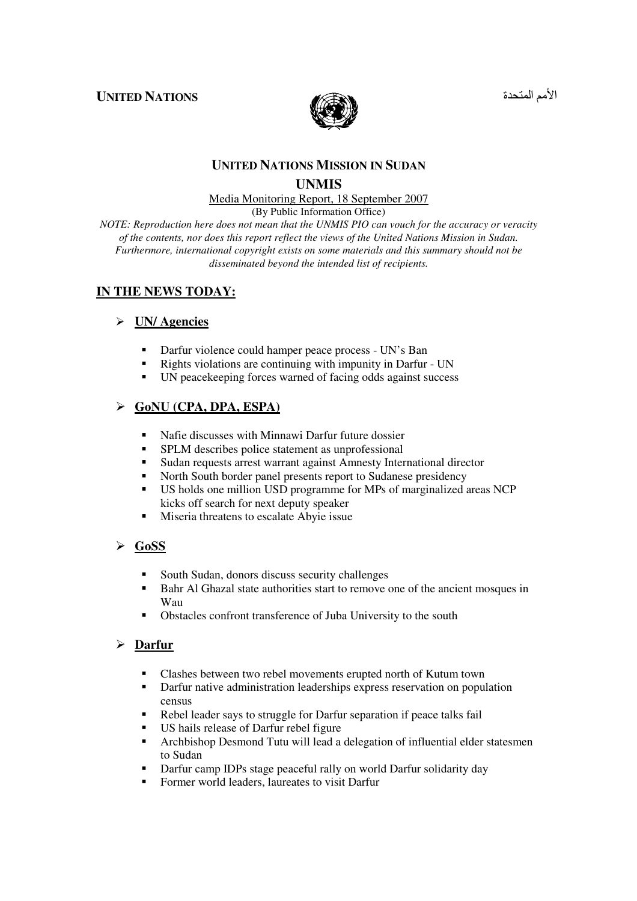#### **UNITED NATIONS**



# الأمم المتحد

## **UNITED NATIONS MISSION IN SUDAN UNMIS**

# Media Monitoring Report, 18 September 2007

(By Public Information Office)

*NOTE: Reproduction here does not mean that the UNMIS PIO can vouch for the accuracy or veracity of the contents, nor does this report reflect the views of the United Nations Mission in Sudan. Furthermore, international copyright exists on some materials and this summary should not be disseminated beyond the intended list of recipients.* 

#### **IN THE NEWS TODAY:**

## **UN/ Agencies**

- -Darfur violence could hamper peace process - UN's Ban
- -Rights violations are continuing with impunity in Darfur - UN
- -UN peacekeeping forces warned of facing odds against success

## **GoNU (CPA, DPA, ESPA)**

- -Nafie discusses with Minnawi Darfur future dossier
- -SPLM describes police statement as unprofessional
- -Sudan requests arrest warrant against Amnesty International director
- -North South border panel presents report to Sudanese presidency
- - US holds one million USD programme for MPs of marginalized areas NCP kicks off search for next deputy speaker
- -Miseria threatens to escalate Abyie issue

#### **GoSS**

- -South Sudan, donors discuss security challenges
- - Bahr Al Ghazal state authorities start to remove one of the ancient mosques in Wau
- -Obstacles confront transference of Juba University to the south

#### **Darfur**

- -Clashes between two rebel movements erupted north of Kutum town
- - Darfur native administration leaderships express reservation on population census
- -Rebel leader says to struggle for Darfur separation if peace talks fail
- -US hails release of Darfur rebel figure
- **-** Archbishop Desmond Tutu will lead a delegation of influential elder statesmen to Sudan
- -Darfur camp IDPs stage peaceful rally on world Darfur solidarity day
- -Former world leaders, laureates to visit Darfur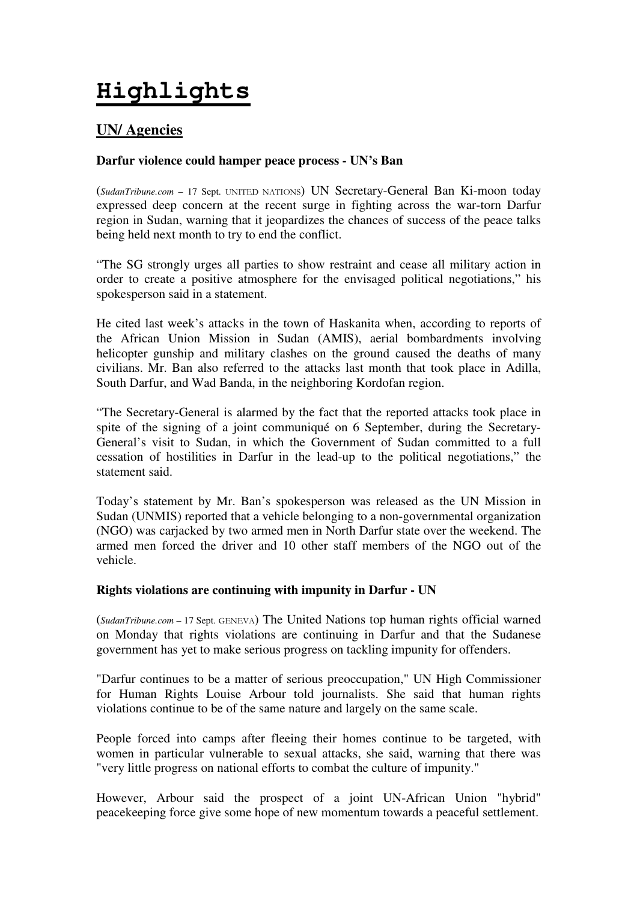# **Highlights**

# **UN/ Agencies**

## **Darfur violence could hamper peace process - UN's Ban**

(*SudanTribune.com* – 17 Sept. UNITED NATIONS) UN Secretary-General Ban Ki-moon today expressed deep concern at the recent surge in fighting across the war-torn Darfur region in Sudan, warning that it jeopardizes the chances of success of the peace talks being held next month to try to end the conflict.

"The SG strongly urges all parties to show restraint and cease all military action in order to create a positive atmosphere for the envisaged political negotiations," his spokesperson said in a statement.

He cited last week's attacks in the town of Haskanita when, according to reports of the African Union Mission in Sudan (AMIS), aerial bombardments involving helicopter gunship and military clashes on the ground caused the deaths of many civilians. Mr. Ban also referred to the attacks last month that took place in Adilla, South Darfur, and Wad Banda, in the neighboring Kordofan region.

"The Secretary-General is alarmed by the fact that the reported attacks took place in spite of the signing of a joint communiqué on 6 September, during the Secretary-General's visit to Sudan, in which the Government of Sudan committed to a full cessation of hostilities in Darfur in the lead-up to the political negotiations," the statement said.

Today's statement by Mr. Ban's spokesperson was released as the UN Mission in Sudan (UNMIS) reported that a vehicle belonging to a non-governmental organization (NGO) was carjacked by two armed men in North Darfur state over the weekend. The armed men forced the driver and 10 other staff members of the NGO out of the vehicle.

#### **Rights violations are continuing with impunity in Darfur - UN**

(*SudanTribune.com* – 17 Sept. GENEVA) The United Nations top human rights official warned on Monday that rights violations are continuing in Darfur and that the Sudanese government has yet to make serious progress on tackling impunity for offenders.

"Darfur continues to be a matter of serious preoccupation," UN High Commissioner for Human Rights Louise Arbour told journalists. She said that human rights violations continue to be of the same nature and largely on the same scale.

People forced into camps after fleeing their homes continue to be targeted, with women in particular vulnerable to sexual attacks, she said, warning that there was "very little progress on national efforts to combat the culture of impunity."

However, Arbour said the prospect of a joint UN-African Union "hybrid" peacekeeping force give some hope of new momentum towards a peaceful settlement.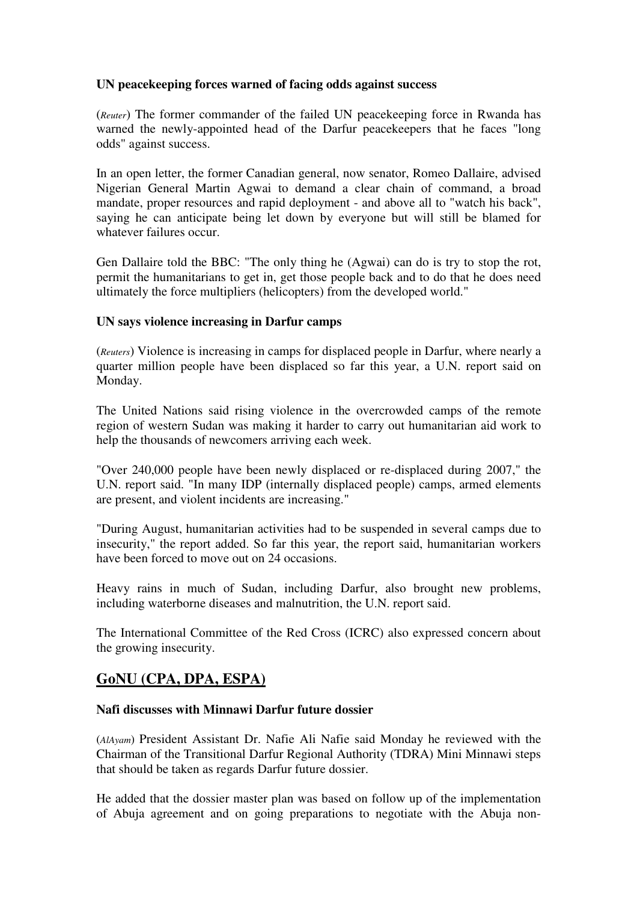## **UN peacekeeping forces warned of facing odds against success**

(*Reuter*) The former commander of the failed UN peacekeeping force in Rwanda has warned the newly-appointed head of the Darfur peacekeepers that he faces "long odds" against success.

In an open letter, the former Canadian general, now senator, Romeo Dallaire, advised Nigerian General Martin Agwai to demand a clear chain of command, a broad mandate, proper resources and rapid deployment - and above all to "watch his back", saying he can anticipate being let down by everyone but will still be blamed for whatever failures occur.

Gen Dallaire told the BBC: "The only thing he (Agwai) can do is try to stop the rot, permit the humanitarians to get in, get those people back and to do that he does need ultimately the force multipliers (helicopters) from the developed world."

#### **UN says violence increasing in Darfur camps**

(*Reuters*) Violence is increasing in camps for displaced people in Darfur, where nearly a quarter million people have been displaced so far this year, a U.N. report said on Monday.

The United Nations said rising violence in the overcrowded camps of the remote region of western Sudan was making it harder to carry out humanitarian aid work to help the thousands of newcomers arriving each week.

"Over 240,000 people have been newly displaced or re-displaced during 2007," the U.N. report said. "In many IDP (internally displaced people) camps, armed elements are present, and violent incidents are increasing."

"During August, humanitarian activities had to be suspended in several camps due to insecurity," the report added. So far this year, the report said, humanitarian workers have been forced to move out on 24 occasions.

Heavy rains in much of Sudan, including Darfur, also brought new problems, including waterborne diseases and malnutrition, the U.N. report said.

The International Committee of the Red Cross (ICRC) also expressed concern about the growing insecurity.

# **GoNU (CPA, DPA, ESPA)**

#### **Nafi discusses with Minnawi Darfur future dossier**

(*AlAyam*) President Assistant Dr. Nafie Ali Nafie said Monday he reviewed with the Chairman of the Transitional Darfur Regional Authority (TDRA) Mini Minnawi steps that should be taken as regards Darfur future dossier.

He added that the dossier master plan was based on follow up of the implementation of Abuja agreement and on going preparations to negotiate with the Abuja non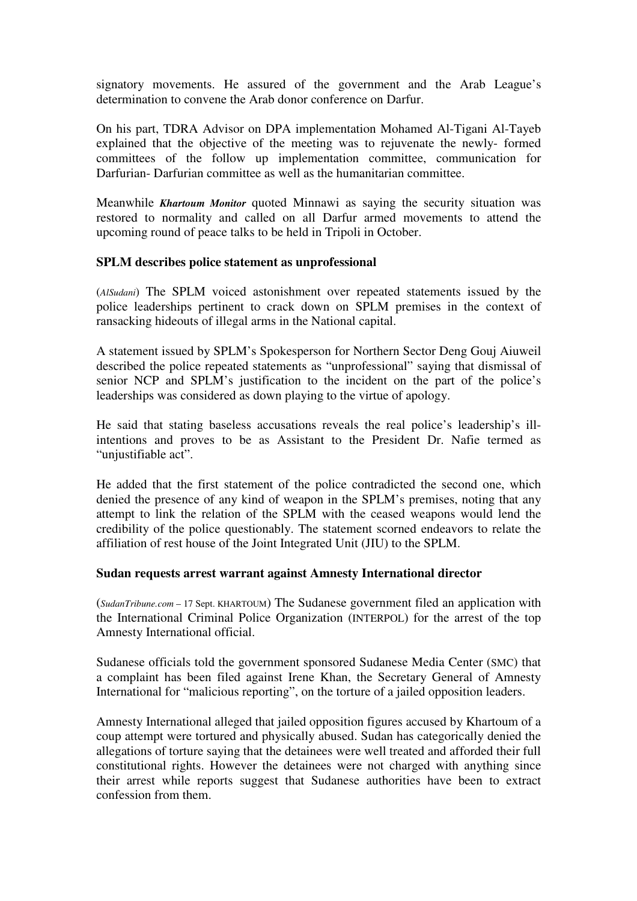signatory movements. He assured of the government and the Arab League's determination to convene the Arab donor conference on Darfur.

On his part, TDRA Advisor on DPA implementation Mohamed Al-Tigani Al-Tayeb explained that the objective of the meeting was to rejuvenate the newly- formed committees of the follow up implementation committee, communication for Darfurian- Darfurian committee as well as the humanitarian committee.

Meanwhile *Khartoum Monitor* quoted Minnawi as saying the security situation was restored to normality and called on all Darfur armed movements to attend the upcoming round of peace talks to be held in Tripoli in October.

#### **SPLM describes police statement as unprofessional**

(*AlSudani*) The SPLM voiced astonishment over repeated statements issued by the police leaderships pertinent to crack down on SPLM premises in the context of ransacking hideouts of illegal arms in the National capital.

A statement issued by SPLM's Spokesperson for Northern Sector Deng Gouj Aiuweil described the police repeated statements as "unprofessional" saying that dismissal of senior NCP and SPLM's justification to the incident on the part of the police's leaderships was considered as down playing to the virtue of apology.

He said that stating baseless accusations reveals the real police's leadership's illintentions and proves to be as Assistant to the President Dr. Nafie termed as "unjustifiable act".

He added that the first statement of the police contradicted the second one, which denied the presence of any kind of weapon in the SPLM's premises, noting that any attempt to link the relation of the SPLM with the ceased weapons would lend the credibility of the police questionably. The statement scorned endeavors to relate the affiliation of rest house of the Joint Integrated Unit (JIU) to the SPLM.

#### **Sudan requests arrest warrant against Amnesty International director**

(*SudanTribune.com* – 17 Sept. KHARTOUM) The Sudanese government filed an application with the International Criminal Police Organization (INTERPOL) for the arrest of the top Amnesty International official.

Sudanese officials told the government sponsored Sudanese Media Center (SMC) that a complaint has been filed against Irene Khan, the Secretary General of Amnesty International for "malicious reporting", on the torture of a jailed opposition leaders.

Amnesty International alleged that jailed opposition figures accused by Khartoum of a coup attempt were tortured and physically abused. Sudan has categorically denied the allegations of torture saying that the detainees were well treated and afforded their full constitutional rights. However the detainees were not charged with anything since their arrest while reports suggest that Sudanese authorities have been to extract confession from them.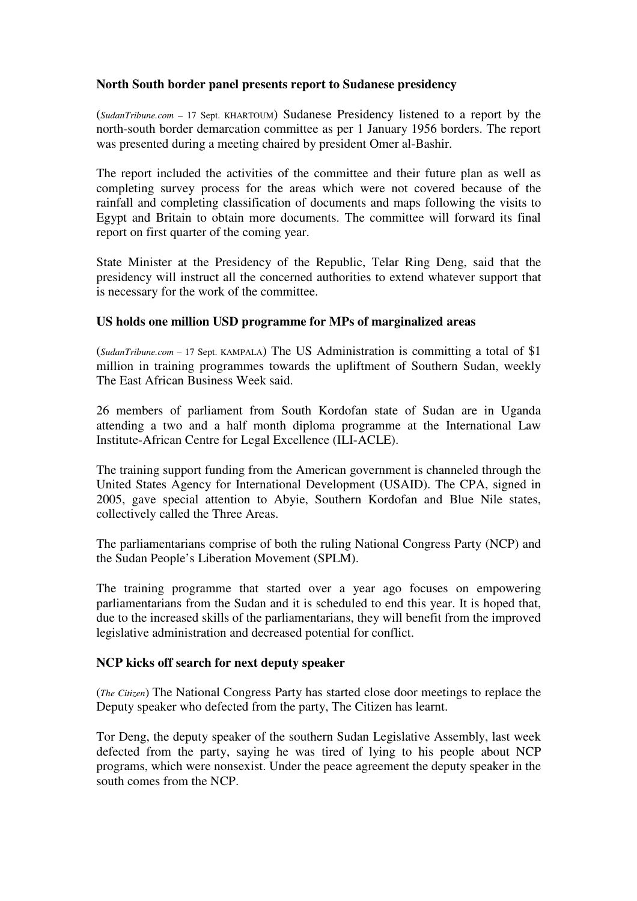#### **North South border panel presents report to Sudanese presidency**

(*SudanTribune.com* – 17 Sept. KHARTOUM) Sudanese Presidency listened to a report by the north-south border demarcation committee as per 1 January 1956 borders. The report was presented during a meeting chaired by president Omer al-Bashir.

The report included the activities of the committee and their future plan as well as completing survey process for the areas which were not covered because of the rainfall and completing classification of documents and maps following the visits to Egypt and Britain to obtain more documents. The committee will forward its final report on first quarter of the coming year.

State Minister at the Presidency of the Republic, Telar Ring Deng, said that the presidency will instruct all the concerned authorities to extend whatever support that is necessary for the work of the committee.

#### **US holds one million USD programme for MPs of marginalized areas**

(*SudanTribune.com* – 17 Sept. KAMPALA) The US Administration is committing a total of \$1 million in training programmes towards the upliftment of Southern Sudan, weekly The East African Business Week said.

26 members of parliament from South Kordofan state of Sudan are in Uganda attending a two and a half month diploma programme at the International Law Institute-African Centre for Legal Excellence (ILI-ACLE).

The training support funding from the American government is channeled through the United States Agency for International Development (USAID). The CPA, signed in 2005, gave special attention to Abyie, Southern Kordofan and Blue Nile states, collectively called the Three Areas.

The parliamentarians comprise of both the ruling National Congress Party (NCP) and the Sudan People's Liberation Movement (SPLM).

The training programme that started over a year ago focuses on empowering parliamentarians from the Sudan and it is scheduled to end this year. It is hoped that, due to the increased skills of the parliamentarians, they will benefit from the improved legislative administration and decreased potential for conflict.

#### **NCP kicks off search for next deputy speaker**

(*The Citizen*) The National Congress Party has started close door meetings to replace the Deputy speaker who defected from the party, The Citizen has learnt.

Tor Deng, the deputy speaker of the southern Sudan Legislative Assembly, last week defected from the party, saying he was tired of lying to his people about NCP programs, which were nonsexist. Under the peace agreement the deputy speaker in the south comes from the NCP.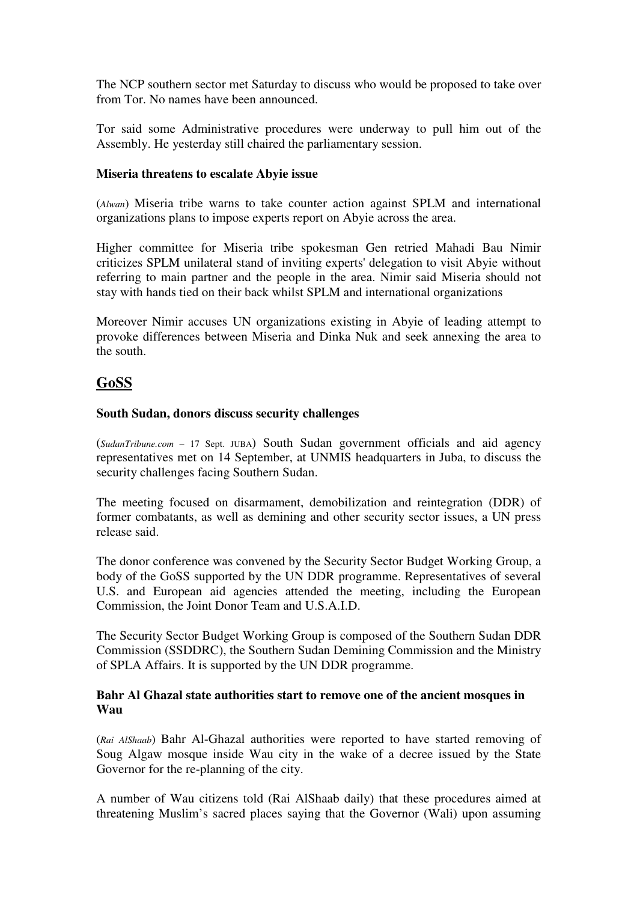The NCP southern sector met Saturday to discuss who would be proposed to take over from Tor. No names have been announced.

Tor said some Administrative procedures were underway to pull him out of the Assembly. He yesterday still chaired the parliamentary session.

#### **Miseria threatens to escalate Abyie issue**

(*Alwan*) Miseria tribe warns to take counter action against SPLM and international organizations plans to impose experts report on Abyie across the area.

Higher committee for Miseria tribe spokesman Gen retried Mahadi Bau Nimir criticizes SPLM unilateral stand of inviting experts' delegation to visit Abyie without referring to main partner and the people in the area. Nimir said Miseria should not stay with hands tied on their back whilst SPLM and international organizations

Moreover Nimir accuses UN organizations existing in Abyie of leading attempt to provoke differences between Miseria and Dinka Nuk and seek annexing the area to the south.

# **GoSS**

#### **South Sudan, donors discuss security challenges**

(*SudanTribune.com* – 17 Sept. JUBA) South Sudan government officials and aid agency representatives met on 14 September, at UNMIS headquarters in Juba, to discuss the security challenges facing Southern Sudan.

The meeting focused on disarmament, demobilization and reintegration (DDR) of former combatants, as well as demining and other security sector issues, a UN press release said.

The donor conference was convened by the Security Sector Budget Working Group, a body of the GoSS supported by the UN DDR programme. Representatives of several U.S. and European aid agencies attended the meeting, including the European Commission, the Joint Donor Team and U.S.A.I.D.

The Security Sector Budget Working Group is composed of the Southern Sudan DDR Commission (SSDDRC), the Southern Sudan Demining Commission and the Ministry of SPLA Affairs. It is supported by the UN DDR programme.

#### **Bahr Al Ghazal state authorities start to remove one of the ancient mosques in Wau**

(*Rai AlShaab*) Bahr Al-Ghazal authorities were reported to have started removing of Soug Algaw mosque inside Wau city in the wake of a decree issued by the State Governor for the re-planning of the city.

A number of Wau citizens told (Rai AlShaab daily) that these procedures aimed at threatening Muslim's sacred places saying that the Governor (Wali) upon assuming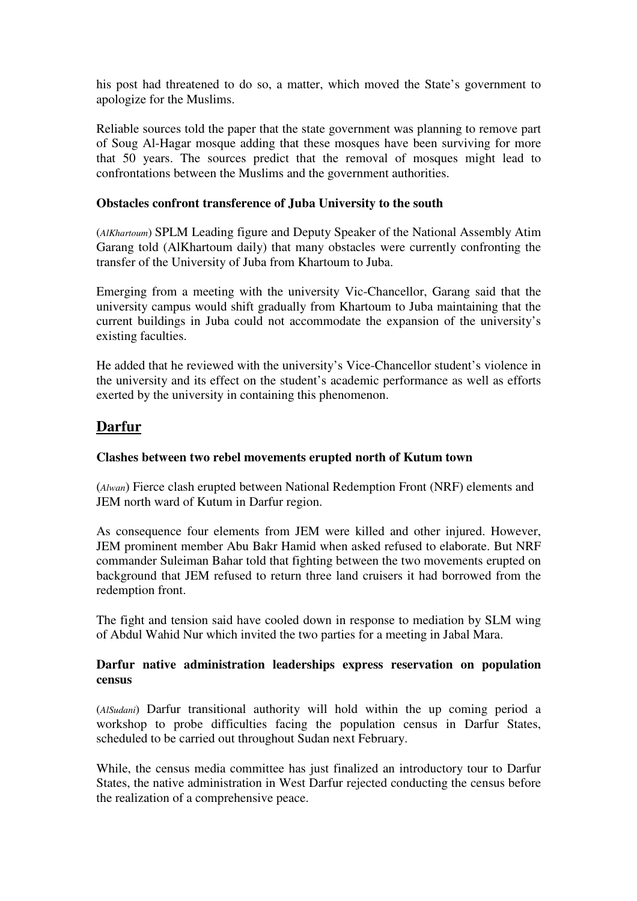his post had threatened to do so, a matter, which moved the State's government to apologize for the Muslims.

Reliable sources told the paper that the state government was planning to remove part of Soug Al-Hagar mosque adding that these mosques have been surviving for more that 50 years. The sources predict that the removal of mosques might lead to confrontations between the Muslims and the government authorities.

#### **Obstacles confront transference of Juba University to the south**

(*AlKhartoum*) SPLM Leading figure and Deputy Speaker of the National Assembly Atim Garang told (AlKhartoum daily) that many obstacles were currently confronting the transfer of the University of Juba from Khartoum to Juba.

Emerging from a meeting with the university Vic-Chancellor, Garang said that the university campus would shift gradually from Khartoum to Juba maintaining that the current buildings in Juba could not accommodate the expansion of the university's existing faculties.

He added that he reviewed with the university's Vice-Chancellor student's violence in the university and its effect on the student's academic performance as well as efforts exerted by the university in containing this phenomenon.

# **Darfur**

## **Clashes between two rebel movements erupted north of Kutum town**

(*Alwan*) Fierce clash erupted between National Redemption Front (NRF) elements and JEM north ward of Kutum in Darfur region.

As consequence four elements from JEM were killed and other injured. However, JEM prominent member Abu Bakr Hamid when asked refused to elaborate. But NRF commander Suleiman Bahar told that fighting between the two movements erupted on background that JEM refused to return three land cruisers it had borrowed from the redemption front.

The fight and tension said have cooled down in response to mediation by SLM wing of Abdul Wahid Nur which invited the two parties for a meeting in Jabal Mara.

#### **Darfur native administration leaderships express reservation on population census**

(*AlSudani*) Darfur transitional authority will hold within the up coming period a workshop to probe difficulties facing the population census in Darfur States, scheduled to be carried out throughout Sudan next February.

While, the census media committee has just finalized an introductory tour to Darfur States, the native administration in West Darfur rejected conducting the census before the realization of a comprehensive peace.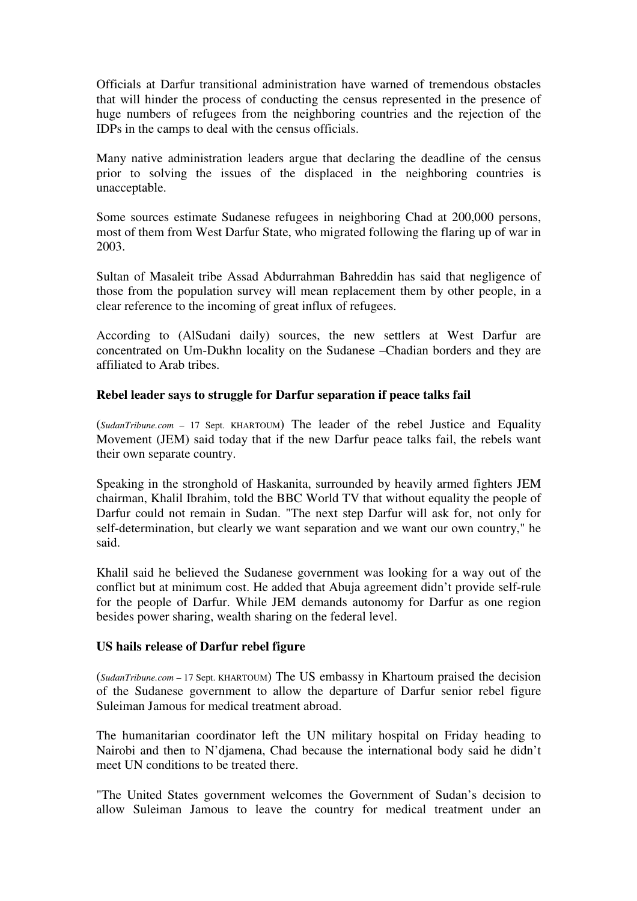Officials at Darfur transitional administration have warned of tremendous obstacles that will hinder the process of conducting the census represented in the presence of huge numbers of refugees from the neighboring countries and the rejection of the IDPs in the camps to deal with the census officials.

Many native administration leaders argue that declaring the deadline of the census prior to solving the issues of the displaced in the neighboring countries is unacceptable.

Some sources estimate Sudanese refugees in neighboring Chad at 200,000 persons, most of them from West Darfur State, who migrated following the flaring up of war in 2003.

Sultan of Masaleit tribe Assad Abdurrahman Bahreddin has said that negligence of those from the population survey will mean replacement them by other people, in a clear reference to the incoming of great influx of refugees.

According to (AlSudani daily) sources, the new settlers at West Darfur are concentrated on Um-Dukhn locality on the Sudanese –Chadian borders and they are affiliated to Arab tribes.

#### **Rebel leader says to struggle for Darfur separation if peace talks fail**

(*SudanTribune.com* – 17 Sept. KHARTOUM) The leader of the rebel Justice and Equality Movement (JEM) said today that if the new Darfur peace talks fail, the rebels want their own separate country.

Speaking in the stronghold of Haskanita, surrounded by heavily armed fighters JEM chairman, Khalil Ibrahim, told the BBC World TV that without equality the people of Darfur could not remain in Sudan. "The next step Darfur will ask for, not only for self-determination, but clearly we want separation and we want our own country," he said.

Khalil said he believed the Sudanese government was looking for a way out of the conflict but at minimum cost. He added that Abuja agreement didn't provide self-rule for the people of Darfur. While JEM demands autonomy for Darfur as one region besides power sharing, wealth sharing on the federal level.

#### **US hails release of Darfur rebel figure**

(*SudanTribune.com* – 17 Sept. KHARTOUM) The US embassy in Khartoum praised the decision of the Sudanese government to allow the departure of Darfur senior rebel figure Suleiman Jamous for medical treatment abroad.

The humanitarian coordinator left the UN military hospital on Friday heading to Nairobi and then to N'djamena, Chad because the international body said he didn't meet UN conditions to be treated there.

"The United States government welcomes the Government of Sudan's decision to allow Suleiman Jamous to leave the country for medical treatment under an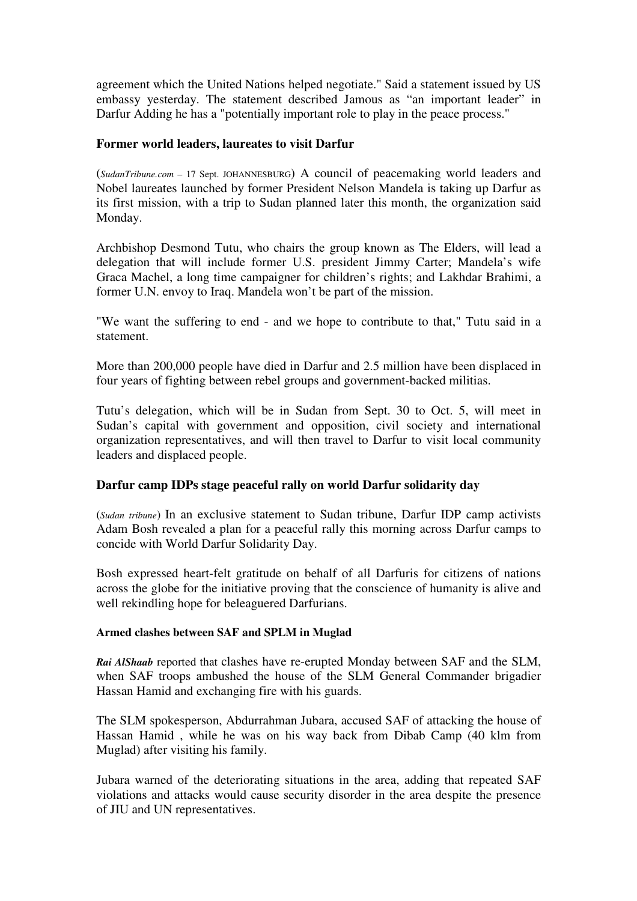agreement which the United Nations helped negotiate." Said a statement issued by US embassy yesterday. The statement described Jamous as "an important leader" in Darfur Adding he has a "potentially important role to play in the peace process."

#### **Former world leaders, laureates to visit Darfur**

(*SudanTribune.com* – 17 Sept. JOHANNESBURG) A council of peacemaking world leaders and Nobel laureates launched by former President Nelson Mandela is taking up Darfur as its first mission, with a trip to Sudan planned later this month, the organization said Monday.

Archbishop Desmond Tutu, who chairs the group known as The Elders, will lead a delegation that will include former U.S. president Jimmy Carter; Mandela's wife Graca Machel, a long time campaigner for children's rights; and Lakhdar Brahimi, a former U.N. envoy to Iraq. Mandela won't be part of the mission.

"We want the suffering to end - and we hope to contribute to that," Tutu said in a statement.

More than 200,000 people have died in Darfur and 2.5 million have been displaced in four years of fighting between rebel groups and government-backed militias.

Tutu's delegation, which will be in Sudan from Sept. 30 to Oct. 5, will meet in Sudan's capital with government and opposition, civil society and international organization representatives, and will then travel to Darfur to visit local community leaders and displaced people.

#### **Darfur camp IDPs stage peaceful rally on world Darfur solidarity day**

(*Sudan tribune*) In an exclusive statement to Sudan tribune, Darfur IDP camp activists Adam Bosh revealed a plan for a peaceful rally this morning across Darfur camps to concide with World Darfur Solidarity Day.

Bosh expressed heart-felt gratitude on behalf of all Darfuris for citizens of nations across the globe for the initiative proving that the conscience of humanity is alive and well rekindling hope for beleaguered Darfurians.

#### **Armed clashes between SAF and SPLM in Muglad**

*Rai AlShaab* reported that clashes have re-erupted Monday between SAF and the SLM, when SAF troops ambushed the house of the SLM General Commander brigadier Hassan Hamid and exchanging fire with his guards.

The SLM spokesperson, Abdurrahman Jubara, accused SAF of attacking the house of Hassan Hamid , while he was on his way back from Dibab Camp (40 klm from Muglad) after visiting his family.

Jubara warned of the deteriorating situations in the area, adding that repeated SAF violations and attacks would cause security disorder in the area despite the presence of JIU and UN representatives.